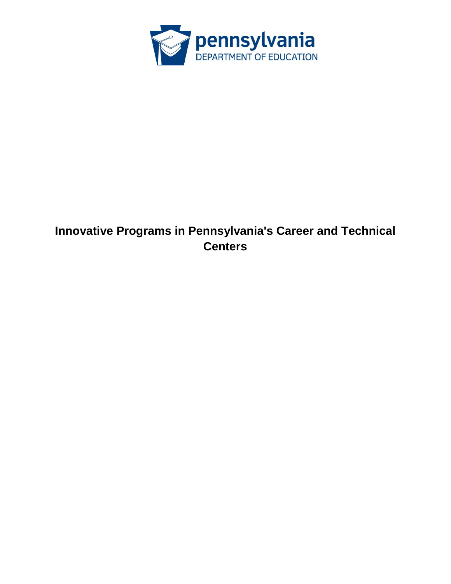

# **Innovative Programs in Pennsylvania's Career and Technical Centers**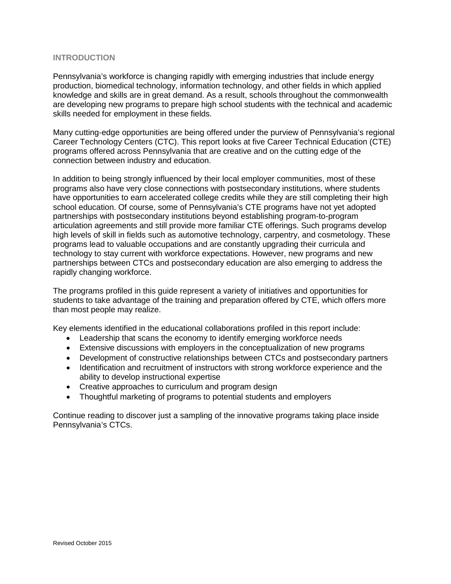## **INTRODUCTION**

Pennsylvania's workforce is changing rapidly with emerging industries that include energy production, biomedical technology, information technology, and other fields in which applied knowledge and skills are in great demand. As a result, schools throughout the commonwealth are developing new programs to prepare high school students with the technical and academic skills needed for employment in these fields.

Many cutting-edge opportunities are being offered under the purview of Pennsylvania's regional Career Technology Centers (CTC). This report looks at five Career Technical Education (CTE) programs offered across Pennsylvania that are creative and on the cutting edge of the connection between industry and education.

In addition to being strongly influenced by their local employer communities, most of these programs also have very close connections with postsecondary institutions, where students have opportunities to earn accelerated college credits while they are still completing their high school education. Of course, some of Pennsylvania's CTE programs have not yet adopted partnerships with postsecondary institutions beyond establishing program-to-program articulation agreements and still provide more familiar CTE offerings. Such programs develop high levels of skill in fields such as automotive technology, carpentry, and cosmetology. These programs lead to valuable occupations and are constantly upgrading their curricula and technology to stay current with workforce expectations. However, new programs and new partnerships between CTCs and postsecondary education are also emerging to address the rapidly changing workforce.

The programs profiled in this guide represent a variety of initiatives and opportunities for students to take advantage of the training and preparation offered by CTE, which offers more than most people may realize.

Key elements identified in the educational collaborations profiled in this report include:

- Leadership that scans the economy to identify emerging workforce needs
- Extensive discussions with employers in the conceptualization of new programs
- Development of constructive relationships between CTCs and postsecondary partners
- Identification and recruitment of instructors with strong workforce experience and the ability to develop instructional expertise
- Creative approaches to curriculum and program design
- Thoughtful marketing of programs to potential students and employers

Continue reading to discover just a sampling of the innovative programs taking place inside Pennsylvania's CTCs.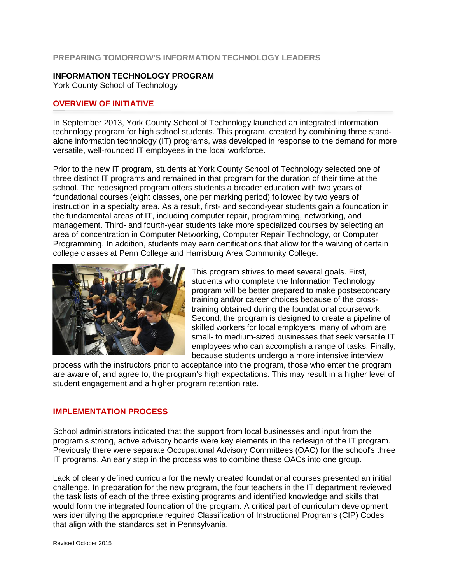## **PREPARING TOMORROW'S INFORMATION TECHNOLOGY LEADERS**

#### **INFORMATION TECHNOLOGY PROGRAM**

York County School of Technology

## **OVERVIEW OF INITIATIVE**

In September 2013, York County School of Technology launched an integrated information technology program for high school students. This program, created by combining three standalone information technology (IT) programs, was developed in response to the demand for more versatile, well-rounded IT employees in the local workforce.

Prior to the new IT program, students at York County School of Technology selected one of three distinct IT programs and remained in that program for the duration of their time at the school. The redesigned program offers students a broader education with two years of foundational courses (eight classes, one per marking period) followed by two years of instruction in a specialty area. As a result, first- and second-year students gain a foundation in the fundamental areas of IT, including computer repair, programming, networking, and management. Third- and fourth-year students take more specialized courses by selecting an area of concentration in Computer Networking, Computer Repair Technology, or Computer Programming. In addition, students may earn certifications that allow for the waiving of certain college classes at Penn College and Harrisburg Area Community College.



This program strives to meet several goals. First, students who complete the Information Technology program will be better prepared to make postsecondary training and/or career choices because of the crosstraining obtained during the foundational coursework. Second, the program is designed to create a pipeline of skilled workers for local employers, many of whom are small- to medium-sized businesses that seek versatile IT employees who can accomplish a range of tasks. Finally, because students undergo a more intensive interview

process with the instructors prior to acceptance into the program, those who enter the program are aware of, and agree to, the program's high expectations. This may result in a higher level of student engagement and a higher program retention rate.

#### **IMPLEMENTATION PROCESS**

School administrators indicated that the support from local businesses and input from the program's strong, active advisory boards were key elements in the redesign of the IT program. Previously there were separate Occupational Advisory Committees (OAC) for the school's three IT programs. An early step in the process was to combine these OACs into one group.

Lack of clearly defined curricula for the newly created foundational courses presented an initial challenge. In preparation for the new program, the four teachers in the IT department reviewed the task lists of each of the three existing programs and identified knowledge and skills that would form the integrated foundation of the program. A critical part of curriculum development was identifying the appropriate required Classification of Instructional Programs (CIP) Codes that align with the standards set in Pennsylvania.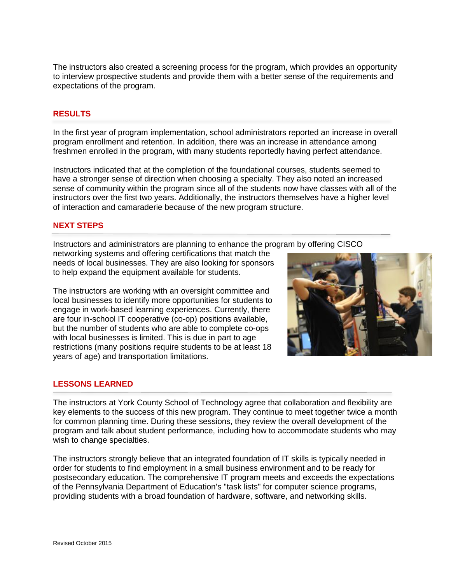The instructors also created a screening process for the program, which provides an opportunity to interview prospective students and provide them with a better sense of the requirements and expectations of the program.

## **RESULTS**

In the first year of program implementation, school administrators reported an increase in overall program enrollment and retention. In addition, there was an increase in attendance among freshmen enrolled in the program, with many students reportedly having perfect attendance.

Instructors indicated that at the completion of the foundational courses, students seemed to have a stronger sense of direction when choosing a specialty. They also noted an increased sense of community within the program since all of the students now have classes with all of the instructors over the first two years. Additionally, the instructors themselves have a higher level of interaction and camaraderie because of the new program structure.

## **NEXT STEPS**

Instructors and administrators are planning to enhance the program by offering CISCO

networking systems and offering certifications that match the needs of local businesses. They are also looking for sponsors to help expand the equipment available for students.

The instructors are working with an oversight committee and local businesses to identify more opportunities for students to engage in work-based learning experiences. Currently, there are four in-school IT cooperative (co-op) positions available, but the number of students who are able to complete co-ops with local businesses is limited. This is due in part to age restrictions (many positions require students to be at least 18 years of age) and transportation limitations.

## **LESSONS LEARNED**

The instructors at York County School of Technology agree that collaboration and flexibility are key elements to the success of this new program. They continue to meet together twice a month for common planning time. During these sessions, they review the overall development of the program and talk about student performance, including how to accommodate students who may wish to change specialties.

The instructors strongly believe that an integrated foundation of IT skills is typically needed in order for students to find employment in a small business environment and to be ready for postsecondary education. The comprehensive IT program meets and exceeds the expectations of the Pennsylvania Department of Education's "task lists" for computer science programs, providing students with a broad foundation of hardware, software, and networking skills.

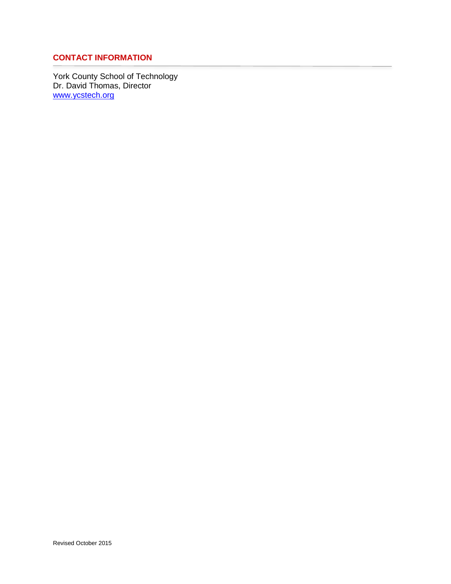## **CONTACT INFORMATION**

York County School of Technology Dr. David Thomas, Director [www.ycstech.org](http://www.ycstech.org/)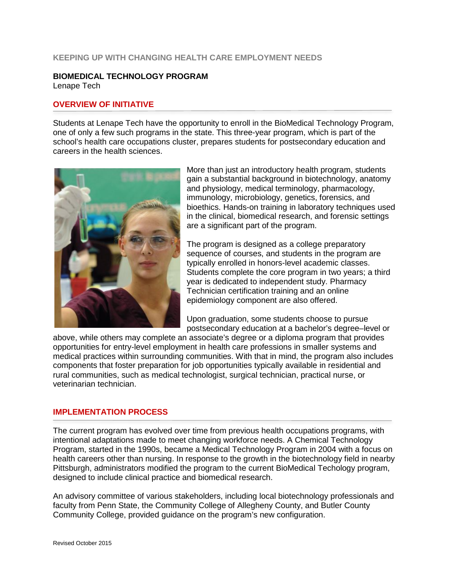#### **KEEPING UP WITH CHANGING HEALTH CARE EMPLOYMENT NEEDS**

#### **BIOMEDICAL TECHNOLOGY PROGRAM** Lenape Tech

## **OVERVIEW OF INITIATIVE**

Students at Lenape Tech have the opportunity to enroll in the BioMedical Technology Program, one of only a few such programs in the state. This three-year program, which is part of the school's health care occupations cluster, prepares students for postsecondary education and careers in the health sciences.



More than just an introductory health program, students gain a substantial background in biotechnology, anatomy and physiology, medical terminology, pharmacology, immunology, microbiology, genetics, forensics, and bioethics. Hands-on training in laboratory techniques used in the clinical, biomedical research, and forensic settings are a significant part of the program.

The program is designed as a college preparatory sequence of courses, and students in the program are typically enrolled in honors-level academic classes. Students complete the core program in two years; a third year is dedicated to independent study. Pharmacy Technician certification training and an online epidemiology component are also offered.

Upon graduation, some students choose to pursue postsecondary education at a bachelor's degree–level or

above, while others may complete an associate's degree or a diploma program that provides opportunities for entry-level employment in health care professions in smaller systems and medical practices within surrounding communities. With that in mind, the program also includes components that foster preparation for job opportunities typically available in residential and rural communities, such as medical technologist, surgical technician, practical nurse, or veterinarian technician.

#### **IMPLEMENTATION PROCESS**

The current program has evolved over time from previous health occupations programs, with intentional adaptations made to meet changing workforce needs. A Chemical Technology Program, started in the 1990s, became a Medical Technology Program in 2004 with a focus on health careers other than nursing. In response to the growth in the biotechnology field in nearby Pittsburgh, administrators modified the program to the current BioMedical Techology program, designed to include clinical practice and biomedical research.

An advisory committee of various stakeholders, including local biotechnology professionals and faculty from Penn State, the Community College of Allegheny County, and Butler County Community College, provided guidance on the program's new configuration.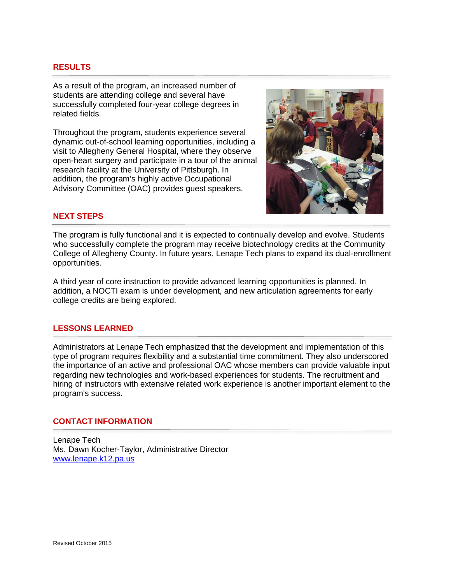## **RESULTS**

As a result of the program, an increased number of students are attending college and several have successfully completed four-year college degrees in related fields.

Throughout the program, students experience several dynamic out-of-school learning opportunities, including a visit to Allegheny General Hospital, where they observe open-heart surgery and participate in a tour of the animal research facility at the University of Pittsburgh. In addition, the program's highly active Occupational Advisory Committee (OAC) provides guest speakers.



## **NEXT STEPS**

The program is fully functional and it is expected to continually develop and evolve. Students who successfully complete the program may receive biotechnology credits at the Community College of Allegheny County. In future years, Lenape Tech plans to expand its dual-enrollment opportunities.

A third year of core instruction to provide advanced learning opportunities is planned. In addition, a NOCTI exam is under development, and new articulation agreements for early college credits are being explored.

#### **LESSONS LEARNED**

Administrators at Lenape Tech emphasized that the development and implementation of this type of program requires flexibility and a substantial time commitment. They also underscored the importance of an active and professional OAC whose members can provide valuable input regarding new technologies and work-based experiences for students. The recruitment and hiring of instructors with extensive related work experience is another important element to the program's success.

#### **CONTACT INFORMATION**

Lenape Tech Ms. Dawn Kocher-Taylor, Administrative Director [www.lenape.k12.pa.us](http://www.lenape.k12.pa.us/)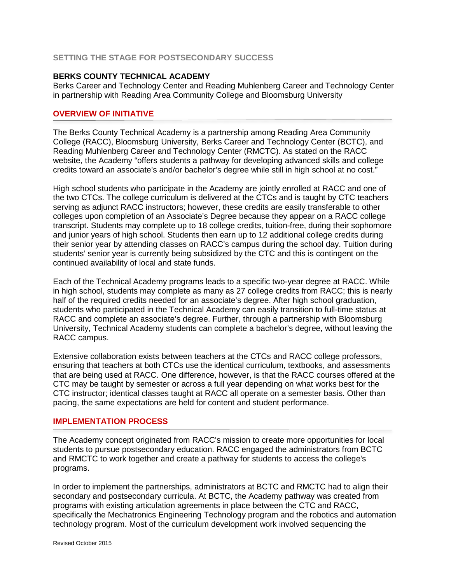## **SETTING THE STAGE FOR POSTSECONDARY SUCCESS**

#### **BERKS COUNTY TECHNICAL ACADEMY**

Berks Career and Technology Center and Reading Muhlenberg Career and Technology Center in partnership with Reading Area Community College and Bloomsburg University

#### **OVERVIEW OF INITIATIVE**

The Berks County Technical Academy is a partnership among Reading Area Community College (RACC), Bloomsburg University, Berks Career and Technology Center (BCTC), and Reading Muhlenberg Career and Technology Center (RMCTC). As stated on the RACC website, the Academy "offers students a pathway for developing advanced skills and college credits toward an associate's and/or bachelor's degree while still in high school at no cost."

High school students who participate in the Academy are jointly enrolled at RACC and one of the two CTCs. The college curriculum is delivered at the CTCs and is taught by CTC teachers serving as adjunct RACC instructors; however, these credits are easily transferable to other colleges upon completion of an Associate's Degree because they appear on a RACC college transcript. Students may complete up to 18 college credits, tuition-free, during their sophomore and junior years of high school. Students then earn up to 12 additional college credits during their senior year by attending classes on RACC's campus during the school day. Tuition during students' senior year is currently being subsidized by the CTC and this is contingent on the continued availability of local and state funds.

Each of the Technical Academy programs leads to a specific two-year degree at RACC. While in high school, students may complete as many as 27 college credits from RACC; this is nearly half of the required credits needed for an associate's degree. After high school graduation, students who participated in the Technical Academy can easily transition to full-time status at RACC and complete an associate's degree. Further, through a partnership with Bloomsburg University, Technical Academy students can complete a bachelor's degree, without leaving the RACC campus.

Extensive collaboration exists between teachers at the CTCs and RACC college professors, ensuring that teachers at both CTCs use the identical curriculum, textbooks, and assessments that are being used at RACC. One difference, however, is that the RACC courses offered at the CTC may be taught by semester or across a full year depending on what works best for the CTC instructor; identical classes taught at RACC all operate on a semester basis. Other than pacing, the same expectations are held for content and student performance.

#### **IMPLEMENTATION PROCESS**

The Academy concept originated from RACC's mission to create more opportunities for local students to pursue postsecondary education. RACC engaged the administrators from BCTC and RMCTC to work together and create a pathway for students to access the college's programs.

In order to implement the partnerships, administrators at BCTC and RMCTC had to align their secondary and postsecondary curricula. At BCTC, the Academy pathway was created from programs with existing articulation agreements in place between the CTC and RACC, specifically the Mechatronics Engineering Technology program and the robotics and automation technology program. Most of the curriculum development work involved sequencing the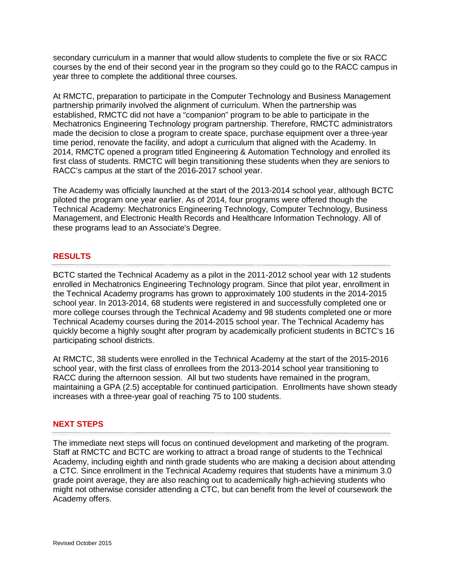secondary curriculum in a manner that would allow students to complete the five or six RACC courses by the end of their second year in the program so they could go to the RACC campus in year three to complete the additional three courses.

At RMCTC, preparation to participate in the Computer Technology and Business Management partnership primarily involved the alignment of curriculum. When the partnership was established, RMCTC did not have a "companion" program to be able to participate in the Mechatronics Engineering Technology program partnership. Therefore, RMCTC administrators made the decision to close a program to create space, purchase equipment over a three-year time period, renovate the facility, and adopt a curriculum that aligned with the Academy. In 2014, RMCTC opened a program titled Engineering & Automation Technology and enrolled its first class of students. RMCTC will begin transitioning these students when they are seniors to RACC's campus at the start of the 2016-2017 school year.

The Academy was officially launched at the start of the 2013-2014 school year, although BCTC piloted the program one year earlier. As of 2014, four programs were offered though the Technical Academy: Mechatronics Engineering Technology, Computer Technology, Business Management, and Electronic Health Records and Healthcare Information Technology. All of these programs lead to an Associate's Degree.

## **RESULTS**

BCTC started the Technical Academy as a pilot in the 2011-2012 school year with 12 students enrolled in Mechatronics Engineering Technology program. Since that pilot year, enrollment in the Technical Academy programs has grown to approximately 100 students in the 2014-2015 school year. In 2013-2014, 68 students were registered in and successfully completed one or more college courses through the Technical Academy and 98 students completed one or more Technical Academy courses during the 2014-2015 school year. The Technical Academy has quickly become a highly sought after program by academically proficient students in BCTC's 16 participating school districts.

At RMCTC, 38 students were enrolled in the Technical Academy at the start of the 2015-2016 school year, with the first class of enrollees from the 2013-2014 school year transitioning to RACC during the afternoon session. All but two students have remained in the program, maintaining a GPA (2.5) acceptable for continued participation. Enrollments have shown steady increases with a three-year goal of reaching 75 to 100 students.

## **NEXT STEPS**

The immediate next steps will focus on continued development and marketing of the program. Staff at RMCTC and BCTC are working to attract a broad range of students to the Technical Academy, including eighth and ninth grade students who are making a decision about attending a CTC. Since enrollment in the Technical Academy requires that students have a minimum 3.0 grade point average, they are also reaching out to academically high-achieving students who might not otherwise consider attending a CTC, but can benefit from the level of coursework the Academy offers.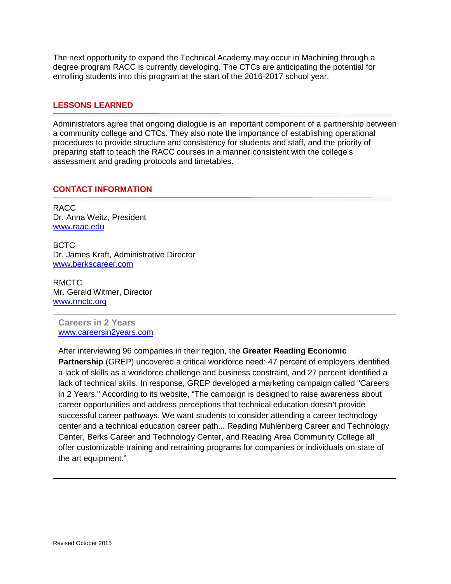The next opportunity to expand the Technical Academy may occur in Machining through a degree program RACC is currently developing. The CTCs are anticipating the potential for enrolling students into this program at the start of the 2016-2017 school year.

## **LESSONS LEARNED**

Administrators agree that ongoing dialogue is an important component of a partnership between a community college and CTCs. They also note the importance of establishing operational procedures to provide structure and consistency for students and staff, and the priority of preparing staff to teach the RACC courses in a manner consistent with the college's assessment and grading protocols and timetables.

#### **CONTACT INFORMATION**

RACC Dr. Anna Weitz, President [www.raac.edu](http://www.raac.edu/)

BCTC Dr. James Kraft, Administrative Director [www.berkscareer.com](http://www.berkscareer.com/)

RMCTC Mr. Gerald Witmer, Director [www.rmctc.org](http://www.rmctc.org/)

**Careers in 2 Years** [www.careersin2years.com](http://www.careersin2years.com/)

After interviewing 96 companies in their region, the **Greater Reading Economic Partnership** (GREP) uncovered a critical workforce need: 47 percent of employers identified a lack of skills as a workforce challenge and business constraint, and 27 percent identified a lack of technical skills. In response, GREP developed a marketing campaign called "Careers in 2 Years." According to its website, "The campaign is designed to raise awareness about career opportunities and address perceptions that technical education doesn't provide successful career pathways. We want students to consider attending a career technology center and a technical education career path... [Reading Muhlenberg Career and Technology](http://www.rmctc.org/)  [Center,](http://www.rmctc.org/) [Berks Career and Technology Center,](http://www.berkscareer.com/) and [Reading Area Community College](http://www.racc.edu/STTC/default.aspx) all offer customizable training and retraining programs for companies or individuals on state of the art equipment."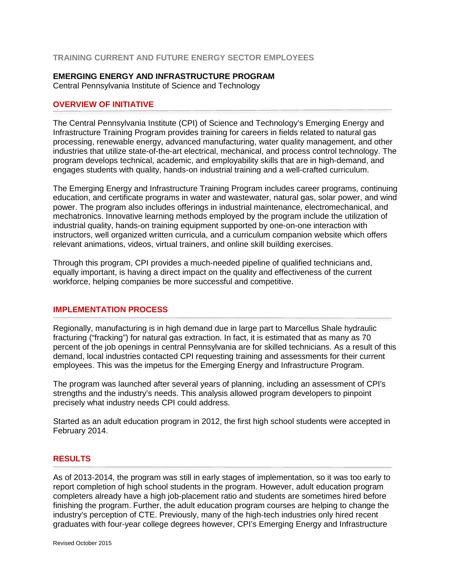## **TRAINING CURRENT AND FUTURE ENERGY SECTOR EMPLOYEES**

## **EMERGING ENERGY AND INFRASTRUCTURE PROGRAM**

Central Pennsylvania Institute of Science and Technology

## **OVERVIEW OF INITIATIVE**

The Central Pennsylvania Institute (CPI) of Science and Technology's Emerging Energy and Infrastructure Training Program provides training for careers in fields related to natural gas processing, renewable energy, advanced manufacturing, water quality management, and other industries that utilize state-of-the-art electrical, mechanical, and process control technology. The program develops technical, academic, and employability skills that are in high-demand, and engages students with quality, hands-on industrial training and a well-crafted curriculum.

The Emerging Energy and Infrastructure Training Program includes career programs, continuing education, and certificate programs in water and wastewater, natural gas, solar power, and wind power. The program also includes offerings in industrial maintenance, electromechanical, and mechatronics. Innovative learning methods employed by the program include the utilization of industrial quality, hands-on training equipment supported by one-on-one interaction with instructors, well organized written curricula, and a curriculum companion website which offers relevant animations, videos, virtual trainers, and online skill building exercises.

Through this program, CPI provides a much-needed pipeline of qualified technicians and, equally important, is having a direct impact on the quality and effectiveness of the current workforce, helping companies be more successful and competitive.

## **IMPLEMENTATION PROCESS**

Regionally, manufacturing is in high demand due in large part to Marcellus Shale hydraulic fracturing ("fracking") for natural gas extraction. In fact, it is estimated that as many as 70 percent of the job openings in central Pennsylvania are for skilled technicians. As a result of this demand, local industries contacted CPI requesting training and assessments for their current employees. This was the impetus for the Emerging Energy and Infrastructure Program.

The program was launched after several years of planning, including an assessment of CPI's strengths and the industry's needs. This analysis allowed program developers to pinpoint precisely what industry needs CPI could address.

Started as an adult education program in 2012, the first high school students were accepted in February 2014.

## **RESULTS**

As of 2013-2014, the program was still in early stages of implementation, so it was too early to report completion of high school students in the program. However, adult education program completers already have a high job-placement ratio and students are sometimes hired before finishing the program. Further, the adult education program courses are helping to change the industry's perception of CTE. Previously, many of the high-tech industries only hired recent graduates with four-year college degrees however, CPI's Emerging Energy and Infrastructure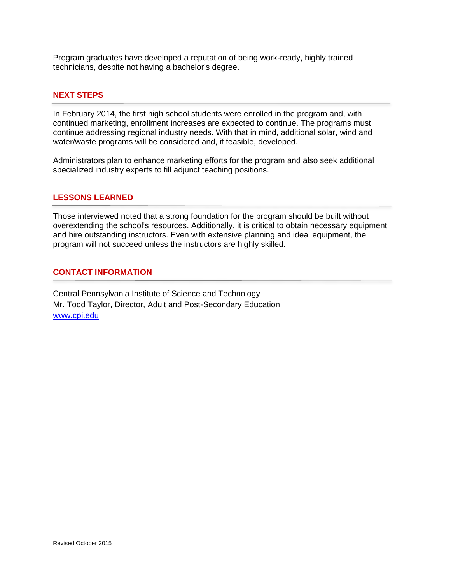Program graduates have developed a reputation of being work-ready, highly trained technicians, despite not having a bachelor's degree.

## **NEXT STEPS**

In February 2014, the first high school students were enrolled in the program and, with continued marketing, enrollment increases are expected to continue. The programs must continue addressing regional industry needs. With that in mind, additional solar, wind and water/waste programs will be considered and, if feasible, developed.

Administrators plan to enhance marketing efforts for the program and also seek additional specialized industry experts to fill adjunct teaching positions.

#### **LESSONS LEARNED**

Those interviewed noted that a strong foundation for the program should be built without overextending the school's resources. Additionally, it is critical to obtain necessary equipment and hire outstanding instructors. Even with extensive planning and ideal equipment, the program will not succeed unless the instructors are highly skilled.

## **CONTACT INFORMATION**

Central Pennsylvania Institute of Science and Technology Mr. Todd Taylor, Director, Adult and Post-Secondary Education [www.cpi.edu](http://www.cpi.edu/)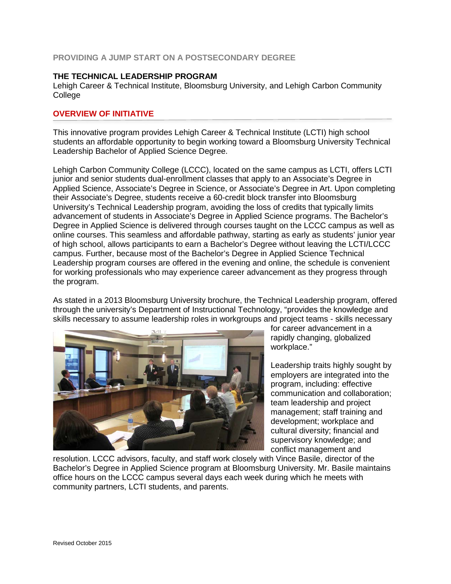## **PROVIDING A JUMP START ON A POSTSECONDARY DEGREE**

## **THE TECHNICAL LEADERSHIP PROGRAM**

Lehigh Career & Technical Institute, Bloomsburg University, and Lehigh Carbon Community **College** 

## **OVERVIEW OF INITIATIVE**

This innovative program provides Lehigh Career & Technical Institute (LCTI) high school students an affordable opportunity to begin working toward a Bloomsburg University Technical Leadership Bachelor of Applied Science Degree.

Lehigh Carbon Community College (LCCC), located on the same campus as LCTI, offers LCTI junior and senior students dual-enrollment classes that apply to an Associate's Degree in Applied Science, Associate's Degree in Science, or Associate's Degree in Art. Upon completing their Associate's Degree, students receive a 60-credit block transfer into Bloomsburg University's Technical Leadership program, avoiding the loss of credits that typically limits advancement of students in Associate's Degree in Applied Science programs. The Bachelor's Degree in Applied Science is delivered through courses taught on the LCCC campus as well as online courses. This seamless and affordable pathway, starting as early as students' junior year of high school, allows participants to earn a Bachelor's Degree without leaving the LCTI/LCCC campus. Further, because most of the Bachelor's Degree in Applied Science Technical Leadership program courses are offered in the evening and online, the schedule is convenient for working professionals who may experience career advancement as they progress through the program.

As stated in a 2013 Bloomsburg University brochure, the Technical Leadership program, offered through the university's Department of Instructional Technology, "provides the knowledge and skills necessary to assume leadership roles in workgroups and project teams - skills necessary



for career advancement in a rapidly changing, globalized workplace."

Leadership traits highly sought by employers are integrated into the program, including: effective communication and collaboration; team leadership and project management; staff training and development; workplace and cultural diversity; financial and supervisory knowledge; and conflict management and

resolution. LCCC advisors, faculty, and staff work closely with Vince Basile, director of the Bachelor's Degree in Applied Science program at Bloomsburg University. Mr. Basile maintains office hours on the LCCC campus several days each week during which he meets with community partners, LCTI students, and parents.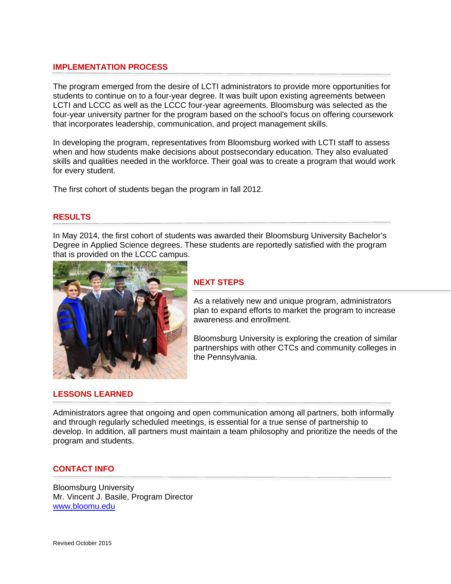## **IMPLEMENTATION PROCESS**

The program emerged from the desire of LCTI administrators to provide more opportunities for students to continue on to a four-year degree. It was built upon existing agreements between LCTI and LCCC as well as the LCCC four-year agreements. Bloomsburg was selected as the four-year university partner for the program based on the school's focus on offering coursework that incorporates leadership, communication, and project management skills.

In developing the program, representatives from Bloomsburg worked with LCTI staff to assess when and how students make decisions about postsecondary education. They also evaluated skills and qualities needed in the workforce. Their goal was to create a program that would work for every student.

The first cohort of students began the program in fall 2012.

#### **RESULTS**

In May 2014, the first cohort of students was awarded their Bloomsburg University Bachelor's Degree in Applied Science degrees. These students are reportedly satisfied with the program that is provided on the LCCC campus.



#### **NEXT STEPS**

As a relatively new and unique program, administrators plan to expand efforts to market the program to increase awareness and enrollment.

Bloomsburg University is exploring the creation of similar partnerships with other CTCs and community colleges in the Pennsylvania.

#### **LESSONS LEARNED**

Administrators agree that ongoing and open communication among all partners, both informally and through regularly scheduled meetings, is essential for a true sense of partnership to develop. In addition, all partners must maintain a team philosophy and prioritize the needs of the program and students.

#### **CONTACT INFO**

Bloomsburg University Mr. Vincent J. Basile, Program Director [www.bloomu.edu](http://www.bloomu.edu/)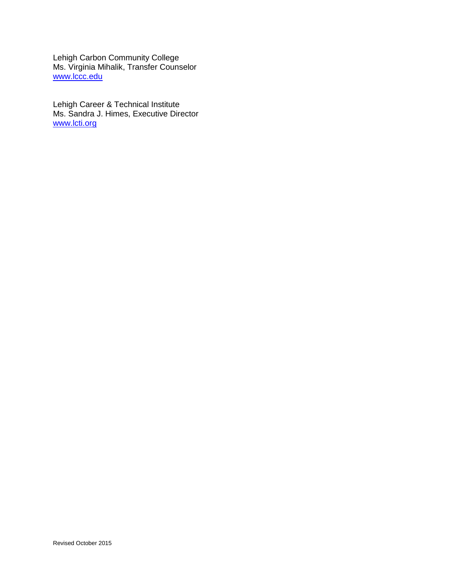Lehigh Carbon Community College Ms. Virginia Mihalik, Transfer Counselor [www.lccc.edu](http://www.lccc.edu/)

Lehigh Career & Technical Institute Ms. Sandra J. Himes, Executive Director [www.lcti.org](http://www.lcti.org/)